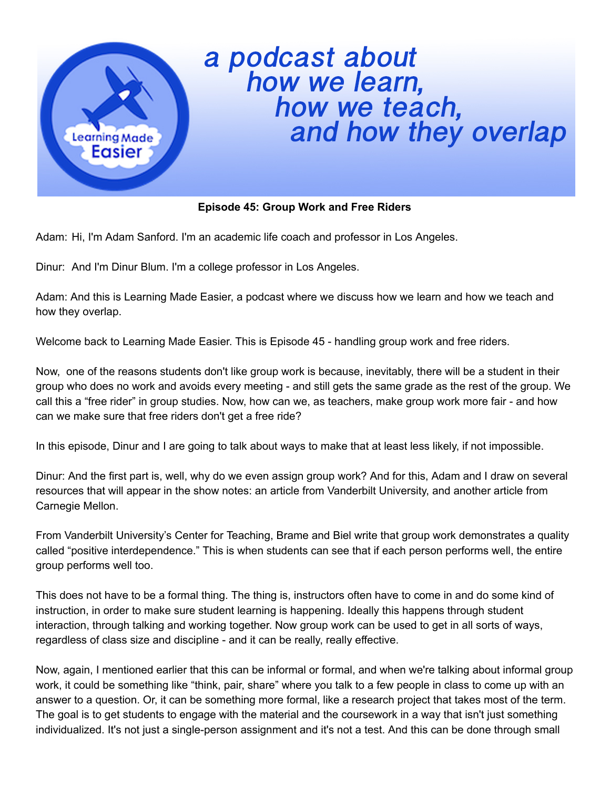

## a podcast about<br>how we learn,<br>how we teach,<br>and how they overlap

## **Episode 45: Group Work and Free Riders**

Adam: Hi, I'm Adam Sanford. I'm an academic life coach and professor in Los Angeles.

Dinur: And I'm Dinur Blum. I'm a college professor in Los Angeles.

Adam: And this is Learning Made Easier, a podcast where we discuss how we learn and how we teach and how they overlap.

Welcome back to Learning Made Easier. This is Episode 45 - handling group work and free riders.

Now, one of the reasons students don't like group work is because, inevitably, there will be a student in their group who does no work and avoids every meeting - and still gets the same grade as the rest of the group. We call this a "free rider" in group studies. Now, how can we, as teachers, make group work more fair - and how can we make sure that free riders don't get a free ride?

In this episode, Dinur and I are going to talk about ways to make that at least less likely, if not impossible.

Dinur: And the first part is, well, why do we even assign group work? And for this, Adam and I draw on several resources that will appear in the show notes: an article from Vanderbilt University, and another article from Carnegie Mellon.

From Vanderbilt University's Center for Teaching, Brame and Biel write that group work demonstrates a quality called "positive interdependence." This is when students can see that if each person performs well, the entire group performs well too.

This does not have to be a formal thing. The thing is, instructors often have to come in and do some kind of instruction, in order to make sure student learning is happening. Ideally this happens through student interaction, through talking and working together. Now group work can be used to get in all sorts of ways, regardless of class size and discipline - and it can be really, really effective.

Now, again, I mentioned earlier that this can be informal or formal, and when we're talking about informal group work, it could be something like "think, pair, share" where you talk to a few people in class to come up with an answer to a question. Or, it can be something more formal, like a research project that takes most of the term. The goal is to get students to engage with the material and the coursework in a way that isn't just something individualized. It's not just a single-person assignment and it's not a test. And this can be done through small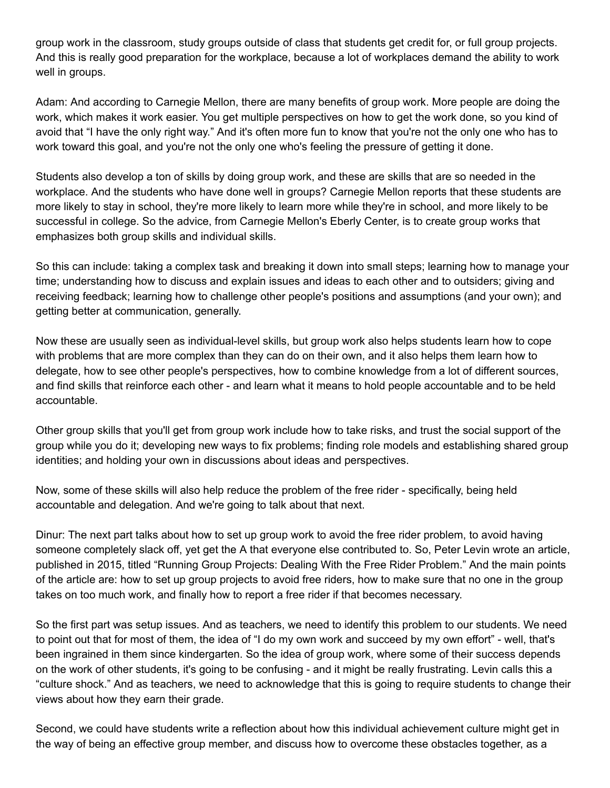group work in the classroom, study groups outside of class that students get credit for, or full group projects. And this is really good preparation for the workplace, because a lot of workplaces demand the ability to work well in groups.

Adam: And according to Carnegie Mellon, there are many benefits of group work. More people are doing the work, which makes it work easier. You get multiple perspectives on how to get the work done, so you kind of avoid that "I have the only right way." And it's often more fun to know that you're not the only one who has to work toward this goal, and you're not the only one who's feeling the pressure of getting it done.

Students also develop a ton of skills by doing group work, and these are skills that are so needed in the workplace. And the students who have done well in groups? Carnegie Mellon reports that these students are more likely to stay in school, they're more likely to learn more while they're in school, and more likely to be successful in college. So the advice, from Carnegie Mellon's Eberly Center, is to create group works that emphasizes both group skills and individual skills.

So this can include: taking a complex task and breaking it down into small steps; learning how to manage your time; understanding how to discuss and explain issues and ideas to each other and to outsiders; giving and receiving feedback; learning how to challenge other people's positions and assumptions (and your own); and getting better at communication, generally.

Now these are usually seen as individual-level skills, but group work also helps students learn how to cope with problems that are more complex than they can do on their own, and it also helps them learn how to delegate, how to see other people's perspectives, how to combine knowledge from a lot of different sources, and find skills that reinforce each other - and learn what it means to hold people accountable and to be held accountable.

Other group skills that you'll get from group work include how to take risks, and trust the social support of the group while you do it; developing new ways to fix problems; finding role models and establishing shared group identities; and holding your own in discussions about ideas and perspectives.

Now, some of these skills will also help reduce the problem of the free rider - specifically, being held accountable and delegation. And we're going to talk about that next.

Dinur: The next part talks about how to set up group work to avoid the free rider problem, to avoid having someone completely slack off, yet get the A that everyone else contributed to. So, Peter Levin wrote an article, published in 2015, titled "Running Group Projects: Dealing With the Free Rider Problem." And the main points of the article are: how to set up group projects to avoid free riders, how to make sure that no one in the group takes on too much work, and finally how to report a free rider if that becomes necessary.

So the first part was setup issues. And as teachers, we need to identify this problem to our students. We need to point out that for most of them, the idea of "I do my own work and succeed by my own effort" - well, that's been ingrained in them since kindergarten. So the idea of group work, where some of their success depends on the work of other students, it's going to be confusing - and it might be really frustrating. Levin calls this a "culture shock." And as teachers, we need to acknowledge that this is going to require students to change their views about how they earn their grade.

Second, we could have students write a reflection about how this individual achievement culture might get in the way of being an effective group member, and discuss how to overcome these obstacles together, as a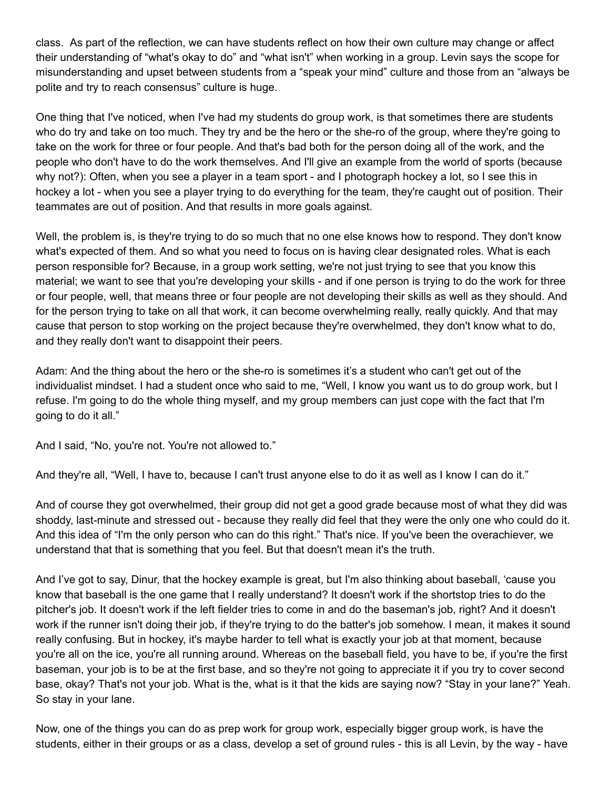class. As part of the reflection, we can have students reflect on how their own culture may change or affect their understanding of "what's okay to do" and "what isn't" when working in a group. Levin says the scope for misunderstanding and upset between students from a "speak your mind" culture and those from an "always be polite and try to reach consensus" culture is huge.

One thing that I've noticed, when I've had my students do group work, is that sometimes there are students who do try and take on too much. They try and be the hero or the she-ro of the group, where they're going to take on the work for three or four people. And that's bad both for the person doing all of the work, and the people who don't have to do the work themselves. And I'll give an example from the world of sports (because why not?): Often, when you see a player in a team sport - and I photograph hockey a lot, so I see this in hockey a lot - when you see a player trying to do everything for the team, they're caught out of position. Their teammates are out of position. And that results in more goals against.

Well, the problem is, is they're trying to do so much that no one else knows how to respond. They don't know what's expected of them. And so what you need to focus on is having clear designated roles. What is each person responsible for? Because, in a group work setting, we're not just trying to see that you know this material; we want to see that you're developing your skills - and if one person is trying to do the work for three or four people, well, that means three or four people are not developing their skills as well as they should. And for the person trying to take on all that work, it can become overwhelming really, really quickly. And that may cause that person to stop working on the project because they're overwhelmed, they don't know what to do, and they really don't want to disappoint their peers.

Adam: And the thing about the hero or the she-ro is sometimes it's a student who can't get out of the individualist mindset. I had a student once who said to me, "Well, I know you want us to do group work, but I refuse. I'm going to do the whole thing myself, and my group members can just cope with the fact that I'm going to do it all."

And I said, "No, you're not. You're not allowed to."

And they're all, "Well, I have to, because I can't trust anyone else to do it as well as I know I can do it."

And of course they got overwhelmed, their group did not get a good grade because most of what they did was shoddy, last-minute and stressed out - because they really did feel that they were the only one who could do it. And this idea of "I'm the only person who can do this right." That's nice. If you've been the overachiever, we understand that that is something that you feel. But that doesn't mean it's the truth.

And I've got to say, Dinur, that the hockey example is great, but I'm also thinking about baseball, 'cause you know that baseball is the one game that I really understand? It doesn't work if the shortstop tries to do the pitcher's job. It doesn't work if the left fielder tries to come in and do the baseman's job, right? And it doesn't work if the runner isn't doing their job, if they're trying to do the batter's job somehow. I mean, it makes it sound really confusing. But in hockey, it's maybe harder to tell what is exactly your job at that moment, because you're all on the ice, you're all running around. Whereas on the baseball field, you have to be, if you're the first baseman, your job is to be at the first base, and so they're not going to appreciate it if you try to cover second base, okay? That's not your job. What is the, what is it that the kids are saying now? "Stay in your lane?" Yeah. So stay in your lane.

Now, one of the things you can do as prep work for group work, especially bigger group work, is have the students, either in their groups or as a class, develop a set of ground rules - this is all Levin, by the way - have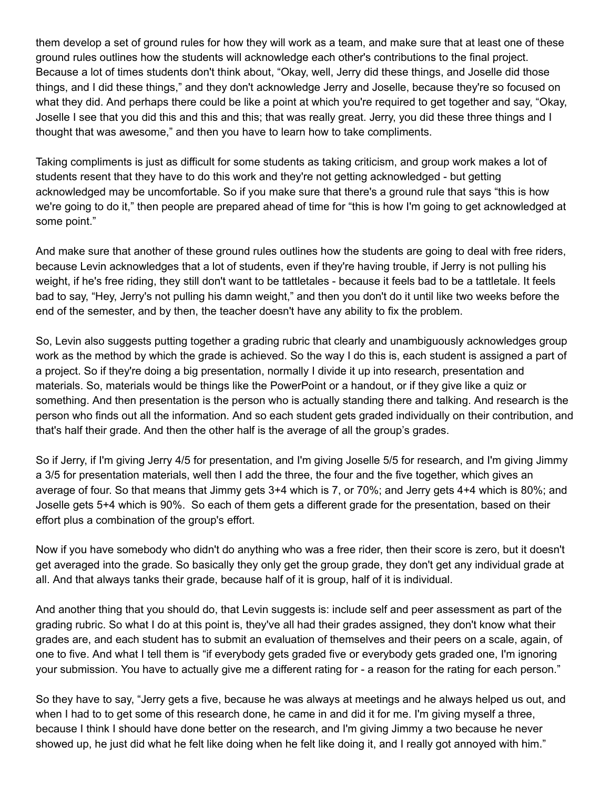them develop a set of ground rules for how they will work as a team, and make sure that at least one of these ground rules outlines how the students will acknowledge each other's contributions to the final project. Because a lot of times students don't think about, "Okay, well, Jerry did these things, and Joselle did those things, and I did these things," and they don't acknowledge Jerry and Joselle, because they're so focused on what they did. And perhaps there could be like a point at which you're required to get together and say, "Okay, Joselle I see that you did this and this and this; that was really great. Jerry, you did these three things and I thought that was awesome," and then you have to learn how to take compliments.

Taking compliments is just as difficult for some students as taking criticism, and group work makes a lot of students resent that they have to do this work and they're not getting acknowledged - but getting acknowledged may be uncomfortable. So if you make sure that there's a ground rule that says "this is how we're going to do it," then people are prepared ahead of time for "this is how I'm going to get acknowledged at some point."

And make sure that another of these ground rules outlines how the students are going to deal with free riders, because Levin acknowledges that a lot of students, even if they're having trouble, if Jerry is not pulling his weight, if he's free riding, they still don't want to be tattletales - because it feels bad to be a tattletale. It feels bad to say, "Hey, Jerry's not pulling his damn weight," and then you don't do it until like two weeks before the end of the semester, and by then, the teacher doesn't have any ability to fix the problem.

So, Levin also suggests putting together a grading rubric that clearly and unambiguously acknowledges group work as the method by which the grade is achieved. So the way I do this is, each student is assigned a part of a project. So if they're doing a big presentation, normally I divide it up into research, presentation and materials. So, materials would be things like the PowerPoint or a handout, or if they give like a quiz or something. And then presentation is the person who is actually standing there and talking. And research is the person who finds out all the information. And so each student gets graded individually on their contribution, and that's half their grade. And then the other half is the average of all the group's grades.

So if Jerry, if I'm giving Jerry 4/5 for presentation, and I'm giving Joselle 5/5 for research, and I'm giving Jimmy a 3/5 for presentation materials, well then I add the three, the four and the five together, which gives an average of four. So that means that Jimmy gets 3+4 which is 7, or 70%; and Jerry gets 4+4 which is 80%; and Joselle gets 5+4 which is 90%. So each of them gets a different grade for the presentation, based on their effort plus a combination of the group's effort.

Now if you have somebody who didn't do anything who was a free rider, then their score is zero, but it doesn't get averaged into the grade. So basically they only get the group grade, they don't get any individual grade at all. And that always tanks their grade, because half of it is group, half of it is individual.

And another thing that you should do, that Levin suggests is: include self and peer assessment as part of the grading rubric. So what I do at this point is, they've all had their grades assigned, they don't know what their grades are, and each student has to submit an evaluation of themselves and their peers on a scale, again, of one to five. And what I tell them is "if everybody gets graded five or everybody gets graded one, I'm ignoring your submission. You have to actually give me a different rating for - a reason for the rating for each person."

So they have to say, "Jerry gets a five, because he was always at meetings and he always helped us out, and when I had to to get some of this research done, he came in and did it for me. I'm giving myself a three, because I think I should have done better on the research, and I'm giving Jimmy a two because he never showed up, he just did what he felt like doing when he felt like doing it, and I really got annoyed with him."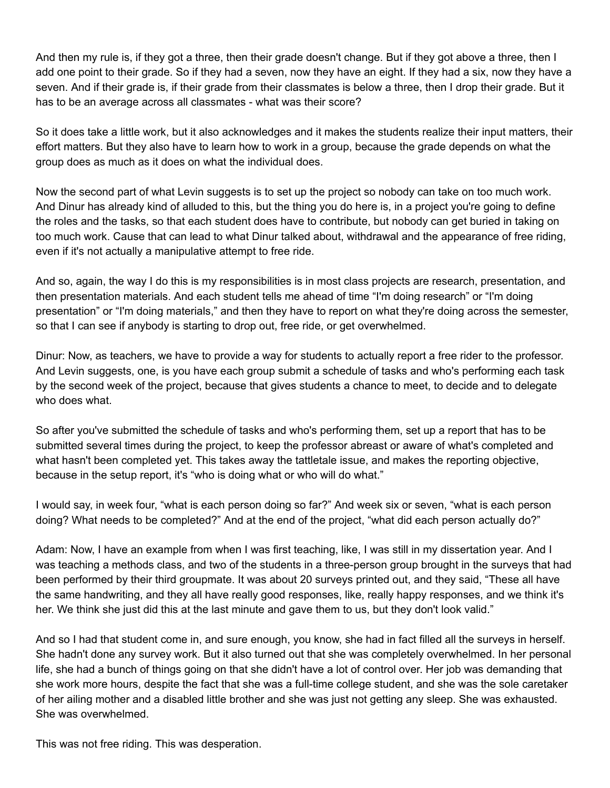And then my rule is, if they got a three, then their grade doesn't change. But if they got above a three, then I add one point to their grade. So if they had a seven, now they have an eight. If they had a six, now they have a seven. And if their grade is, if their grade from their classmates is below a three, then I drop their grade. But it has to be an average across all classmates - what was their score?

So it does take a little work, but it also acknowledges and it makes the students realize their input matters, their effort matters. But they also have to learn how to work in a group, because the grade depends on what the group does as much as it does on what the individual does.

Now the second part of what Levin suggests is to set up the project so nobody can take on too much work. And Dinur has already kind of alluded to this, but the thing you do here is, in a project you're going to define the roles and the tasks, so that each student does have to contribute, but nobody can get buried in taking on too much work. Cause that can lead to what Dinur talked about, withdrawal and the appearance of free riding, even if it's not actually a manipulative attempt to free ride.

And so, again, the way I do this is my responsibilities is in most class projects are research, presentation, and then presentation materials. And each student tells me ahead of time "I'm doing research" or "I'm doing presentation" or "I'm doing materials," and then they have to report on what they're doing across the semester, so that I can see if anybody is starting to drop out, free ride, or get overwhelmed.

Dinur: Now, as teachers, we have to provide a way for students to actually report a free rider to the professor. And Levin suggests, one, is you have each group submit a schedule of tasks and who's performing each task by the second week of the project, because that gives students a chance to meet, to decide and to delegate who does what.

So after you've submitted the schedule of tasks and who's performing them, set up a report that has to be submitted several times during the project, to keep the professor abreast or aware of what's completed and what hasn't been completed yet. This takes away the tattletale issue, and makes the reporting objective, because in the setup report, it's "who is doing what or who will do what."

I would say, in week four, "what is each person doing so far?" And week six or seven, "what is each person doing? What needs to be completed?" And at the end of the project, "what did each person actually do?"

Adam: Now, I have an example from when I was first teaching, like, I was still in my dissertation year. And I was teaching a methods class, and two of the students in a three-person group brought in the surveys that had been performed by their third groupmate. It was about 20 surveys printed out, and they said, "These all have the same handwriting, and they all have really good responses, like, really happy responses, and we think it's her. We think she just did this at the last minute and gave them to us, but they don't look valid."

And so I had that student come in, and sure enough, you know, she had in fact filled all the surveys in herself. She hadn't done any survey work. But it also turned out that she was completely overwhelmed. In her personal life, she had a bunch of things going on that she didn't have a lot of control over. Her job was demanding that she work more hours, despite the fact that she was a full-time college student, and she was the sole caretaker of her ailing mother and a disabled little brother and she was just not getting any sleep. She was exhausted. She was overwhelmed.

This was not free riding. This was desperation.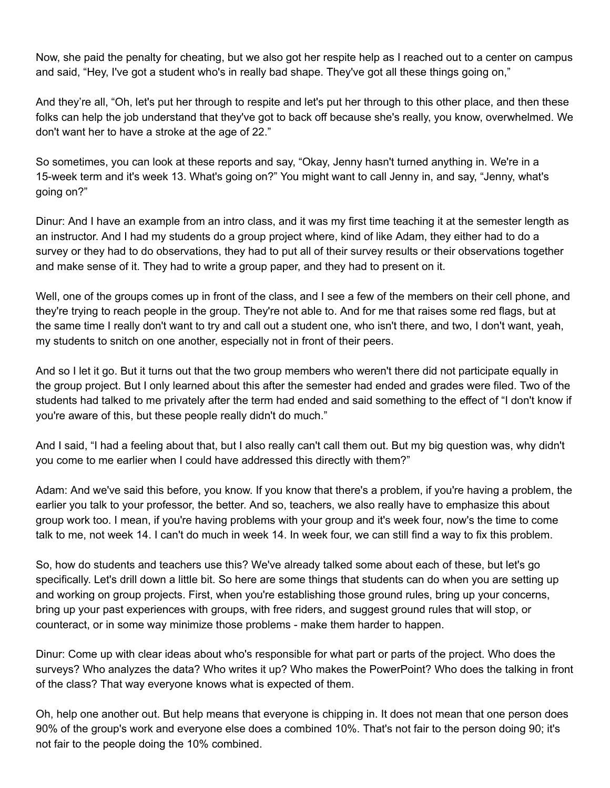Now, she paid the penalty for cheating, but we also got her respite help as I reached out to a center on campus and said, "Hey, I've got a student who's in really bad shape. They've got all these things going on,"

And they're all, "Oh, let's put her through to respite and let's put her through to this other place, and then these folks can help the job understand that they've got to back off because she's really, you know, overwhelmed. We don't want her to have a stroke at the age of 22."

So sometimes, you can look at these reports and say, "Okay, Jenny hasn't turned anything in. We're in a 15-week term and it's week 13. What's going on?" You might want to call Jenny in, and say, "Jenny, what's going on?"

Dinur: And I have an example from an intro class, and it was my first time teaching it at the semester length as an instructor. And I had my students do a group project where, kind of like Adam, they either had to do a survey or they had to do observations, they had to put all of their survey results or their observations together and make sense of it. They had to write a group paper, and they had to present on it.

Well, one of the groups comes up in front of the class, and I see a few of the members on their cell phone, and they're trying to reach people in the group. They're not able to. And for me that raises some red flags, but at the same time I really don't want to try and call out a student one, who isn't there, and two, I don't want, yeah, my students to snitch on one another, especially not in front of their peers.

And so I let it go. But it turns out that the two group members who weren't there did not participate equally in the group project. But I only learned about this after the semester had ended and grades were filed. Two of the students had talked to me privately after the term had ended and said something to the effect of "I don't know if you're aware of this, but these people really didn't do much."

And I said, "I had a feeling about that, but I also really can't call them out. But my big question was, why didn't you come to me earlier when I could have addressed this directly with them?"

Adam: And we've said this before, you know. If you know that there's a problem, if you're having a problem, the earlier you talk to your professor, the better. And so, teachers, we also really have to emphasize this about group work too. I mean, if you're having problems with your group and it's week four, now's the time to come talk to me, not week 14. I can't do much in week 14. In week four, we can still find a way to fix this problem.

So, how do students and teachers use this? We've already talked some about each of these, but let's go specifically. Let's drill down a little bit. So here are some things that students can do when you are setting up and working on group projects. First, when you're establishing those ground rules, bring up your concerns, bring up your past experiences with groups, with free riders, and suggest ground rules that will stop, or counteract, or in some way minimize those problems - make them harder to happen.

Dinur: Come up with clear ideas about who's responsible for what part or parts of the project. Who does the surveys? Who analyzes the data? Who writes it up? Who makes the PowerPoint? Who does the talking in front of the class? That way everyone knows what is expected of them.

Oh, help one another out. But help means that everyone is chipping in. It does not mean that one person does 90% of the group's work and everyone else does a combined 10%. That's not fair to the person doing 90; it's not fair to the people doing the 10% combined.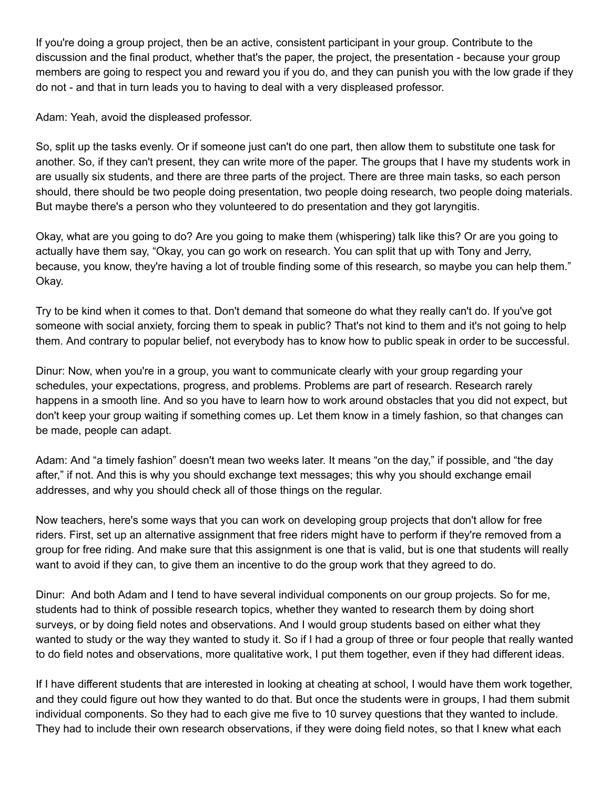If you're doing a group project, then be an active, consistent participant in your group. Contribute to the discussion and the final product, whether that's the paper, the project, the presentation - because your group members are going to respect you and reward you if you do, and they can punish you with the low grade if they do not - and that in turn leads you to having to deal with a very displeased professor.

Adam: Yeah, avoid the displeased professor.

So, split up the tasks evenly. Or if someone just can't do one part, then allow them to substitute one task for another. So, if they can't present, they can write more of the paper. The groups that I have my students work in are usually six students, and there are three parts of the project. There are three main tasks, so each person should, there should be two people doing presentation, two people doing research, two people doing materials. But maybe there's a person who they volunteered to do presentation and they got laryngitis.

Okay, what are you going to do? Are you going to make them (whispering) talk like this? Or are you going to actually have them say, "Okay, you can go work on research. You can split that up with Tony and Jerry, because, you know, they're having a lot of trouble finding some of this research, so maybe you can help them." Okay.

Try to be kind when it comes to that. Don't demand that someone do what they really can't do. If you've got someone with social anxiety, forcing them to speak in public? That's not kind to them and it's not going to help them. And contrary to popular belief, not everybody has to know how to public speak in order to be successful.

Dinur: Now, when you're in a group, you want to communicate clearly with your group regarding your schedules, your expectations, progress, and problems. Problems are part of research. Research rarely happens in a smooth line. And so you have to learn how to work around obstacles that you did not expect, but don't keep your group waiting if something comes up. Let them know in a timely fashion, so that changes can be made, people can adapt.

Adam: And "a timely fashion" doesn't mean two weeks later. It means "on the day," if possible, and "the day after," if not. And this is why you should exchange text messages; this why you should exchange email addresses, and why you should check all of those things on the regular.

Now teachers, here's some ways that you can work on developing group projects that don't allow for free riders. First, set up an alternative assignment that free riders might have to perform if they're removed from a group for free riding. And make sure that this assignment is one that is valid, but is one that students will really want to avoid if they can, to give them an incentive to do the group work that they agreed to do.

Dinur: And both Adam and I tend to have several individual components on our group projects. So for me, students had to think of possible research topics, whether they wanted to research them by doing short surveys, or by doing field notes and observations. And I would group students based on either what they wanted to study or the way they wanted to study it. So if I had a group of three or four people that really wanted to do field notes and observations, more qualitative work, I put them together, even if they had different ideas.

If I have different students that are interested in looking at cheating at school, I would have them work together, and they could figure out how they wanted to do that. But once the students were in groups, I had them submit individual components. So they had to each give me five to 10 survey questions that they wanted to include. They had to include their own research observations, if they were doing field notes, so that I knew what each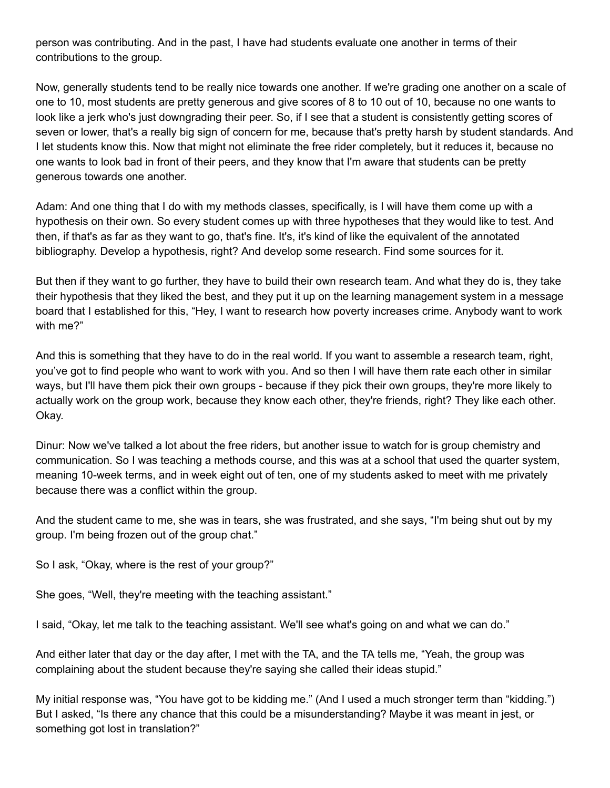person was contributing. And in the past, I have had students evaluate one another in terms of their contributions to the group.

Now, generally students tend to be really nice towards one another. If we're grading one another on a scale of one to 10, most students are pretty generous and give scores of 8 to 10 out of 10, because no one wants to look like a jerk who's just downgrading their peer. So, if I see that a student is consistently getting scores of seven or lower, that's a really big sign of concern for me, because that's pretty harsh by student standards. And I let students know this. Now that might not eliminate the free rider completely, but it reduces it, because no one wants to look bad in front of their peers, and they know that I'm aware that students can be pretty generous towards one another.

Adam: And one thing that I do with my methods classes, specifically, is I will have them come up with a hypothesis on their own. So every student comes up with three hypotheses that they would like to test. And then, if that's as far as they want to go, that's fine. It's, it's kind of like the equivalent of the annotated bibliography. Develop a hypothesis, right? And develop some research. Find some sources for it.

But then if they want to go further, they have to build their own research team. And what they do is, they take their hypothesis that they liked the best, and they put it up on the learning management system in a message board that I established for this, "Hey, I want to research how poverty increases crime. Anybody want to work with me?"

And this is something that they have to do in the real world. If you want to assemble a research team, right, you've got to find people who want to work with you. And so then I will have them rate each other in similar ways, but I'll have them pick their own groups - because if they pick their own groups, they're more likely to actually work on the group work, because they know each other, they're friends, right? They like each other. Okay.

Dinur: Now we've talked a lot about the free riders, but another issue to watch for is group chemistry and communication. So I was teaching a methods course, and this was at a school that used the quarter system, meaning 10-week terms, and in week eight out of ten, one of my students asked to meet with me privately because there was a conflict within the group.

And the student came to me, she was in tears, she was frustrated, and she says, "I'm being shut out by my group. I'm being frozen out of the group chat."

So I ask, "Okay, where is the rest of your group?"

She goes, "Well, they're meeting with the teaching assistant."

I said, "Okay, let me talk to the teaching assistant. We'll see what's going on and what we can do."

And either later that day or the day after, I met with the TA, and the TA tells me, "Yeah, the group was complaining about the student because they're saying she called their ideas stupid."

My initial response was, "You have got to be kidding me." (And I used a much stronger term than "kidding.") But I asked, "Is there any chance that this could be a misunderstanding? Maybe it was meant in jest, or something got lost in translation?"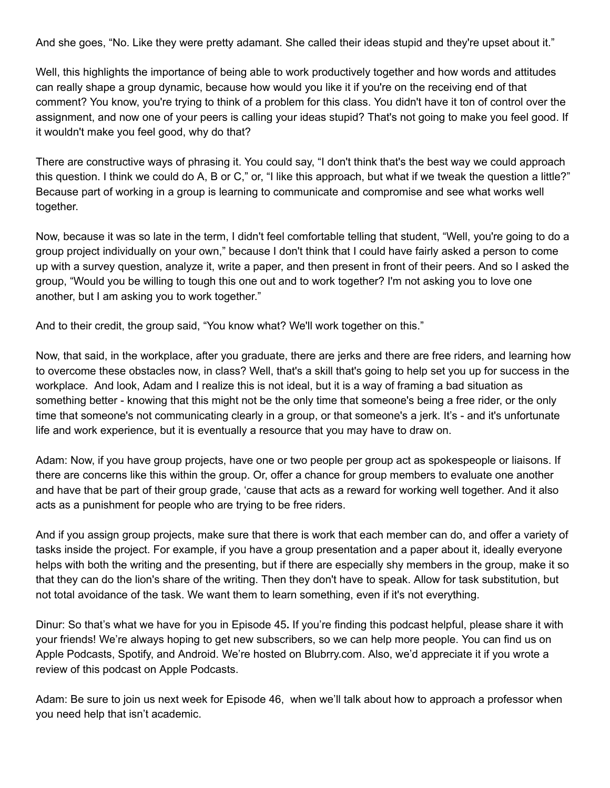And she goes, "No. Like they were pretty adamant. She called their ideas stupid and they're upset about it."

Well, this highlights the importance of being able to work productively together and how words and attitudes can really shape a group dynamic, because how would you like it if you're on the receiving end of that comment? You know, you're trying to think of a problem for this class. You didn't have it ton of control over the assignment, and now one of your peers is calling your ideas stupid? That's not going to make you feel good. If it wouldn't make you feel good, why do that?

There are constructive ways of phrasing it. You could say, "I don't think that's the best way we could approach this question. I think we could do A, B or C," or, "I like this approach, but what if we tweak the question a little?" Because part of working in a group is learning to communicate and compromise and see what works well together.

Now, because it was so late in the term, I didn't feel comfortable telling that student, "Well, you're going to do a group project individually on your own," because I don't think that I could have fairly asked a person to come up with a survey question, analyze it, write a paper, and then present in front of their peers. And so I asked the group, "Would you be willing to tough this one out and to work together? I'm not asking you to love one another, but I am asking you to work together."

And to their credit, the group said, "You know what? We'll work together on this."

Now, that said, in the workplace, after you graduate, there are jerks and there are free riders, and learning how to overcome these obstacles now, in class? Well, that's a skill that's going to help set you up for success in the workplace. And look, Adam and I realize this is not ideal, but it is a way of framing a bad situation as something better - knowing that this might not be the only time that someone's being a free rider, or the only time that someone's not communicating clearly in a group, or that someone's a jerk. It's - and it's unfortunate life and work experience, but it is eventually a resource that you may have to draw on.

Adam: Now, if you have group projects, have one or two people per group act as spokespeople or liaisons. If there are concerns like this within the group. Or, offer a chance for group members to evaluate one another and have that be part of their group grade, 'cause that acts as a reward for working well together. And it also acts as a punishment for people who are trying to be free riders.

And if you assign group projects, make sure that there is work that each member can do, and offer a variety of tasks inside the project. For example, if you have a group presentation and a paper about it, ideally everyone helps with both the writing and the presenting, but if there are especially shy members in the group, make it so that they can do the lion's share of the writing. Then they don't have to speak. Allow for task substitution, but not total avoidance of the task. We want them to learn something, even if it's not everything.

Dinur: So that's what we have for you in Episode 45**.** If you're finding this podcast helpful, please share it with your friends! We're always hoping to get new subscribers, so we can help more people. You can find us on Apple Podcasts, Spotify, and Android. We're hosted on Blubrry.com. Also, we'd appreciate it if you wrote a review of this podcast on Apple Podcasts.

Adam: Be sure to join us next week for Episode 46, when we'll talk about how to approach a professor when you need help that isn't academic.